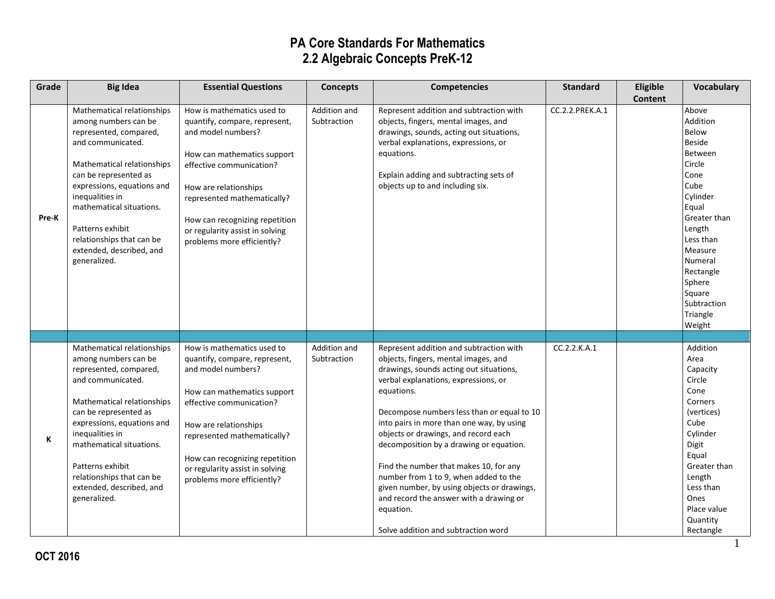| Grade | <b>Big Idea</b>                                                                                                                                                                                                                                                                                                                    | <b>Essential Questions</b>                                                                                                                                                                                                                                                                              | <b>Concepts</b>             | <b>Competencies</b>                                                                                                                                                                                                                                                                                                                                                                                                                                                                                                                                  | <b>Standard</b> | Eligible       | <b>Vocabulary</b>                                                                                                                                                                                                                        |
|-------|------------------------------------------------------------------------------------------------------------------------------------------------------------------------------------------------------------------------------------------------------------------------------------------------------------------------------------|---------------------------------------------------------------------------------------------------------------------------------------------------------------------------------------------------------------------------------------------------------------------------------------------------------|-----------------------------|------------------------------------------------------------------------------------------------------------------------------------------------------------------------------------------------------------------------------------------------------------------------------------------------------------------------------------------------------------------------------------------------------------------------------------------------------------------------------------------------------------------------------------------------------|-----------------|----------------|------------------------------------------------------------------------------------------------------------------------------------------------------------------------------------------------------------------------------------------|
|       |                                                                                                                                                                                                                                                                                                                                    |                                                                                                                                                                                                                                                                                                         |                             |                                                                                                                                                                                                                                                                                                                                                                                                                                                                                                                                                      |                 | <b>Content</b> |                                                                                                                                                                                                                                          |
| Pre-K | Mathematical relationships<br>among numbers can be<br>represented, compared,<br>and communicated.<br>Mathematical relationships<br>can be represented as<br>expressions, equations and<br>inequalities in<br>mathematical situations.<br>Patterns exhibit<br>relationships that can be<br>extended, described, and<br>generalized. | How is mathematics used to<br>quantify, compare, represent,<br>and model numbers?<br>How can mathematics support<br>effective communication?<br>How are relationships<br>represented mathematically?<br>How can recognizing repetition<br>or regularity assist in solving<br>problems more efficiently? | Addition and<br>Subtraction | Represent addition and subtraction with<br>objects, fingers, mental images, and<br>drawings, sounds, acting out situations,<br>verbal explanations, expressions, or<br>equations.<br>Explain adding and subtracting sets of<br>objects up to and including six.                                                                                                                                                                                                                                                                                      | CC.2.2.PREK.A.1 |                | Above<br>Addition<br>Below<br><b>Beside</b><br>Between<br>Circle<br>Cone<br>Cube<br>Cylinder<br>Equal<br>Greater than<br>Length<br>Less than<br>Measure<br>Numeral<br>Rectangle<br>Sphere<br>Square<br>Subtraction<br>Triangle<br>Weight |
|       | Mathematical relationships                                                                                                                                                                                                                                                                                                         | How is mathematics used to                                                                                                                                                                                                                                                                              | Addition and                | Represent addition and subtraction with                                                                                                                                                                                                                                                                                                                                                                                                                                                                                                              | CC.2.2.K.A.1    |                | Addition                                                                                                                                                                                                                                 |
| К     | among numbers can be<br>represented, compared,<br>and communicated.<br>Mathematical relationships<br>can be represented as<br>expressions, equations and<br>inequalities in<br>mathematical situations.<br>Patterns exhibit<br>relationships that can be<br>extended, described, and<br>generalized.                               | quantify, compare, represent,<br>and model numbers?<br>How can mathematics support<br>effective communication?<br>How are relationships<br>represented mathematically?<br>How can recognizing repetition<br>or regularity assist in solving<br>problems more efficiently?                               | Subtraction                 | objects, fingers, mental images, and<br>drawings, sounds acting out situations,<br>verbal explanations, expressions, or<br>equations.<br>Decompose numbers less than or equal to 10<br>into pairs in more than one way, by using<br>objects or drawings, and record each<br>decomposition by a drawing or equation.<br>Find the number that makes 10, for any<br>number from 1 to 9, when added to the<br>given number, by using objects or drawings,<br>and record the answer with a drawing or<br>equation.<br>Solve addition and subtraction word |                 |                | Area<br>Capacity<br>Circle<br>Cone<br>Corners<br>(vertices)<br>Cube<br>Cylinder<br>Digit<br>Equal<br>Greater than<br>Length<br>Less than<br>Ones<br>Place value<br>Quantity<br>Rectangle                                                 |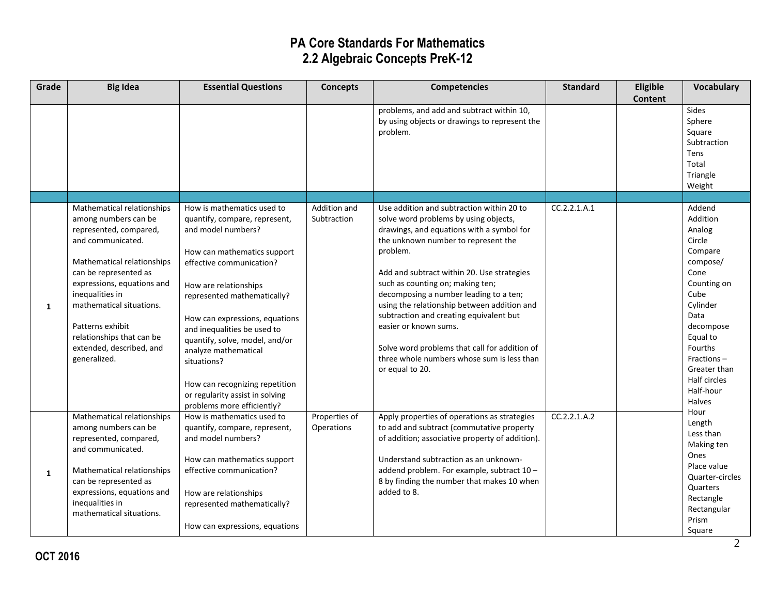| Grade | <b>Big Idea</b>                                                                                                                                                                                                                                                                                                                    | <b>Essential Questions</b>                                                                                                                                                                                                                                                                                                                                                                                                                        | <b>Concepts</b>             | <b>Competencies</b>                                                                                                                                                                                                                                                                                                                                                                                                                                                                                                                                 | <b>Standard</b> | Eligible       | Vocabulary                                                                                                                                                                                                                       |
|-------|------------------------------------------------------------------------------------------------------------------------------------------------------------------------------------------------------------------------------------------------------------------------------------------------------------------------------------|---------------------------------------------------------------------------------------------------------------------------------------------------------------------------------------------------------------------------------------------------------------------------------------------------------------------------------------------------------------------------------------------------------------------------------------------------|-----------------------------|-----------------------------------------------------------------------------------------------------------------------------------------------------------------------------------------------------------------------------------------------------------------------------------------------------------------------------------------------------------------------------------------------------------------------------------------------------------------------------------------------------------------------------------------------------|-----------------|----------------|----------------------------------------------------------------------------------------------------------------------------------------------------------------------------------------------------------------------------------|
|       |                                                                                                                                                                                                                                                                                                                                    |                                                                                                                                                                                                                                                                                                                                                                                                                                                   |                             | problems, and add and subtract within 10,<br>by using objects or drawings to represent the<br>problem.                                                                                                                                                                                                                                                                                                                                                                                                                                              |                 | <b>Content</b> | Sides<br>Sphere<br>Square<br>Subtraction<br>Tens<br>Total<br>Triangle<br>Weight                                                                                                                                                  |
|       |                                                                                                                                                                                                                                                                                                                                    |                                                                                                                                                                                                                                                                                                                                                                                                                                                   |                             |                                                                                                                                                                                                                                                                                                                                                                                                                                                                                                                                                     |                 |                |                                                                                                                                                                                                                                  |
| 1     | Mathematical relationships<br>among numbers can be<br>represented, compared,<br>and communicated.<br>Mathematical relationships<br>can be represented as<br>expressions, equations and<br>inequalities in<br>mathematical situations.<br>Patterns exhibit<br>relationships that can be<br>extended, described, and<br>generalized. | How is mathematics used to<br>quantify, compare, represent,<br>and model numbers?<br>How can mathematics support<br>effective communication?<br>How are relationships<br>represented mathematically?<br>How can expressions, equations<br>and inequalities be used to<br>quantify, solve, model, and/or<br>analyze mathematical<br>situations?<br>How can recognizing repetition<br>or regularity assist in solving<br>problems more efficiently? | Addition and<br>Subtraction | Use addition and subtraction within 20 to<br>solve word problems by using objects,<br>drawings, and equations with a symbol for<br>the unknown number to represent the<br>problem.<br>Add and subtract within 20. Use strategies<br>such as counting on; making ten;<br>decomposing a number leading to a ten;<br>using the relationship between addition and<br>subtraction and creating equivalent but<br>easier or known sums.<br>Solve word problems that call for addition of<br>three whole numbers whose sum is less than<br>or equal to 20. | CC.2.2.1.A.1    |                | Addend<br>Addition<br>Analog<br>Circle<br>Compare<br>compose/<br>Cone<br>Counting on<br>Cube<br>Cylinder<br>Data<br>decompose<br>Equal to<br>Fourths<br>Fractions-<br>Greater than<br>Half circles<br>Half-hour<br><b>Halves</b> |
| 1     | Mathematical relationships<br>among numbers can be<br>represented, compared,<br>and communicated.<br>Mathematical relationships<br>can be represented as<br>expressions, equations and<br>inequalities in<br>mathematical situations.                                                                                              | How is mathematics used to<br>quantify, compare, represent,<br>and model numbers?<br>How can mathematics support<br>effective communication?<br>How are relationships<br>represented mathematically?<br>How can expressions, equations                                                                                                                                                                                                            | Properties of<br>Operations | Apply properties of operations as strategies<br>to add and subtract (commutative property<br>of addition; associative property of addition).<br>Understand subtraction as an unknown-<br>addend problem. For example, subtract 10 -<br>8 by finding the number that makes 10 when<br>added to 8.                                                                                                                                                                                                                                                    | CC.2.2.1.A.2    |                | Hour<br>Length<br>Less than<br>Making ten<br>Ones<br>Place value<br>Quarter-circles<br>Quarters<br>Rectangle<br>Rectangular<br>Prism<br>Square                                                                                   |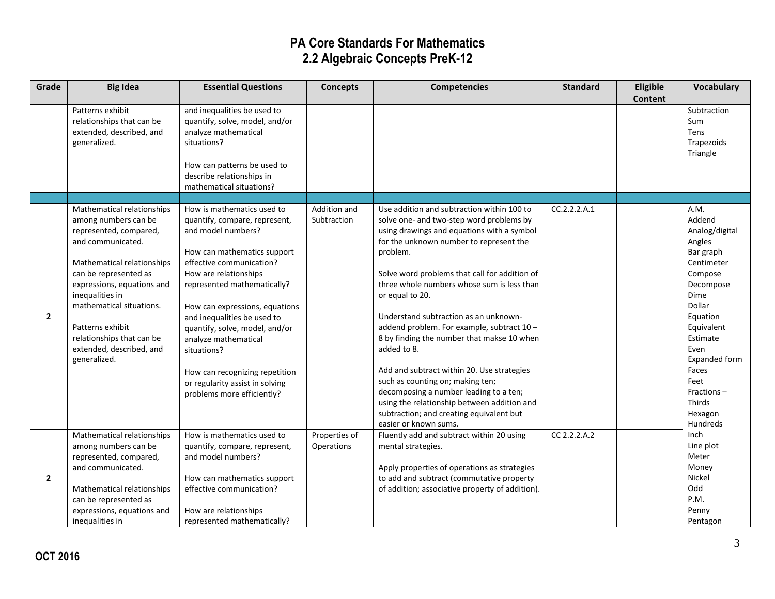| Grade          | <b>Big Idea</b>                                     | <b>Essential Questions</b>                                    | <b>Concepts</b> | <b>Competencies</b>                                                | <b>Standard</b> | Eligible       | <b>Vocabulary</b>       |
|----------------|-----------------------------------------------------|---------------------------------------------------------------|-----------------|--------------------------------------------------------------------|-----------------|----------------|-------------------------|
|                |                                                     |                                                               |                 |                                                                    |                 | <b>Content</b> |                         |
|                | Patterns exhibit<br>relationships that can be       | and inequalities be used to<br>quantify, solve, model, and/or |                 |                                                                    |                 |                | Subtraction<br>Sum      |
|                | extended, described, and                            | analyze mathematical                                          |                 |                                                                    |                 |                | Tens                    |
|                | generalized.                                        | situations?                                                   |                 |                                                                    |                 |                | Trapezoids              |
|                |                                                     |                                                               |                 |                                                                    |                 |                | Triangle                |
|                |                                                     | How can patterns be used to                                   |                 |                                                                    |                 |                |                         |
|                |                                                     | describe relationships in                                     |                 |                                                                    |                 |                |                         |
|                |                                                     | mathematical situations?                                      |                 |                                                                    |                 |                |                         |
|                |                                                     |                                                               |                 |                                                                    |                 |                |                         |
|                | Mathematical relationships                          | How is mathematics used to                                    | Addition and    | Use addition and subtraction within 100 to                         | CC.2.2.2.A.1    |                | A.M.                    |
|                | among numbers can be                                | quantify, compare, represent,                                 | Subtraction     | solve one- and two-step word problems by                           |                 |                | Addend                  |
|                | represented, compared,                              | and model numbers?                                            |                 | using drawings and equations with a symbol                         |                 |                | Analog/digital          |
|                | and communicated.                                   |                                                               |                 | for the unknown number to represent the                            |                 |                | Angles                  |
|                |                                                     | How can mathematics support<br>effective communication?       |                 | problem.                                                           |                 |                | Bar graph<br>Centimeter |
|                | Mathematical relationships<br>can be represented as | How are relationships                                         |                 | Solve word problems that call for addition of                      |                 |                | Compose                 |
|                | expressions, equations and                          | represented mathematically?                                   |                 | three whole numbers whose sum is less than                         |                 |                | Decompose               |
|                | inequalities in                                     |                                                               |                 | or equal to 20.                                                    |                 |                | Dime                    |
|                | mathematical situations.                            | How can expressions, equations                                |                 |                                                                    |                 |                | Dollar                  |
| $\mathbf{2}$   |                                                     | and inequalities be used to                                   |                 | Understand subtraction as an unknown-                              |                 |                | Equation                |
|                | Patterns exhibit                                    | quantify, solve, model, and/or                                |                 | addend problem. For example, subtract 10 -                         |                 |                | Equivalent              |
|                | relationships that can be                           | analyze mathematical                                          |                 | 8 by finding the number that makse 10 when                         |                 |                | Estimate                |
|                | extended, described, and                            | situations?                                                   |                 | added to 8.                                                        |                 |                | Even                    |
|                | generalized.                                        |                                                               |                 |                                                                    |                 |                | Expanded form           |
|                |                                                     | How can recognizing repetition                                |                 | Add and subtract within 20. Use strategies                         |                 |                | Faces                   |
|                |                                                     | or regularity assist in solving                               |                 | such as counting on; making ten;                                   |                 |                | Feet                    |
|                |                                                     | problems more efficiently?                                    |                 | decomposing a number leading to a ten;                             |                 |                | Fractions-              |
|                |                                                     |                                                               |                 | using the relationship between addition and                        |                 |                | Thirds                  |
|                |                                                     |                                                               |                 | subtraction; and creating equivalent but                           |                 |                | Hexagon                 |
|                | Mathematical relationships                          | How is mathematics used to                                    | Properties of   | easier or known sums.<br>Fluently add and subtract within 20 using | CC 2.2.2.A.2    |                | Hundreds<br>Inch        |
|                | among numbers can be                                | quantify, compare, represent,                                 | Operations      | mental strategies.                                                 |                 |                | Line plot               |
|                | represented, compared,                              | and model numbers?                                            |                 |                                                                    |                 |                | Meter                   |
|                | and communicated.                                   |                                                               |                 | Apply properties of operations as strategies                       |                 |                | Money                   |
| $\overline{2}$ |                                                     | How can mathematics support                                   |                 | to add and subtract (commutative property                          |                 |                | Nickel                  |
|                | Mathematical relationships                          | effective communication?                                      |                 | of addition; associative property of addition).                    |                 |                | Odd                     |
|                | can be represented as                               |                                                               |                 |                                                                    |                 |                | P.M.                    |
|                | expressions, equations and                          | How are relationships                                         |                 |                                                                    |                 |                | Penny                   |
|                | inequalities in                                     | represented mathematically?                                   |                 |                                                                    |                 |                | Pentagon                |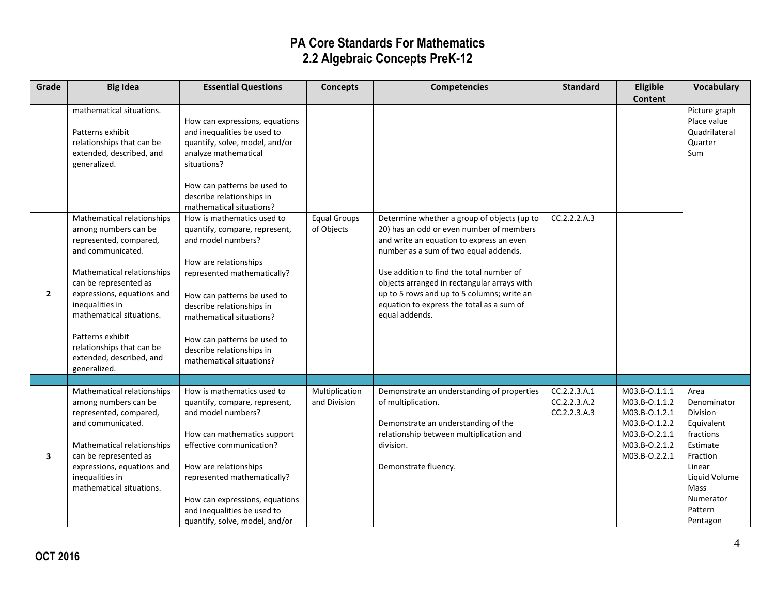| Grade          | <b>Big Idea</b>                                                                                                                                                                                                                                                                                                                                                                    | <b>Essential Questions</b>                                                                                                                                                                                                                                                                                                                                                                                                                                                                         | <b>Concepts</b>                   | <b>Competencies</b>                                                                                                                                                                                                                                                                                                                                                                  | <b>Standard</b>                              | Eligible                                                                                                            | <b>Vocabulary</b>                                                                                                                                         |
|----------------|------------------------------------------------------------------------------------------------------------------------------------------------------------------------------------------------------------------------------------------------------------------------------------------------------------------------------------------------------------------------------------|----------------------------------------------------------------------------------------------------------------------------------------------------------------------------------------------------------------------------------------------------------------------------------------------------------------------------------------------------------------------------------------------------------------------------------------------------------------------------------------------------|-----------------------------------|--------------------------------------------------------------------------------------------------------------------------------------------------------------------------------------------------------------------------------------------------------------------------------------------------------------------------------------------------------------------------------------|----------------------------------------------|---------------------------------------------------------------------------------------------------------------------|-----------------------------------------------------------------------------------------------------------------------------------------------------------|
| $\overline{2}$ | mathematical situations.<br>Patterns exhibit<br>relationships that can be<br>extended, described, and<br>generalized.<br>Mathematical relationships<br>among numbers can be<br>represented, compared,<br>and communicated.<br>Mathematical relationships<br>can be represented as<br>expressions, equations and<br>inequalities in<br>mathematical situations.<br>Patterns exhibit | How can expressions, equations<br>and inequalities be used to<br>quantify, solve, model, and/or<br>analyze mathematical<br>situations?<br>How can patterns be used to<br>describe relationships in<br>mathematical situations?<br>How is mathematics used to<br>quantify, compare, represent,<br>and model numbers?<br>How are relationships<br>represented mathematically?<br>How can patterns be used to<br>describe relationships in<br>mathematical situations?<br>How can patterns be used to | <b>Equal Groups</b><br>of Objects | Determine whether a group of objects (up to<br>20) has an odd or even number of members<br>and write an equation to express an even<br>number as a sum of two equal addends.<br>Use addition to find the total number of<br>objects arranged in rectangular arrays with<br>up to 5 rows and up to 5 columns; write an<br>equation to express the total as a sum of<br>equal addends. | CC.2.2.2.A.3                                 | <b>Content</b>                                                                                                      | Picture graph<br>Place value<br>Quadrilateral<br>Quarter<br>Sum                                                                                           |
|                | relationships that can be<br>extended, described, and<br>generalized.                                                                                                                                                                                                                                                                                                              | describe relationships in<br>mathematical situations?                                                                                                                                                                                                                                                                                                                                                                                                                                              |                                   |                                                                                                                                                                                                                                                                                                                                                                                      |                                              |                                                                                                                     |                                                                                                                                                           |
|                |                                                                                                                                                                                                                                                                                                                                                                                    |                                                                                                                                                                                                                                                                                                                                                                                                                                                                                                    |                                   |                                                                                                                                                                                                                                                                                                                                                                                      |                                              |                                                                                                                     |                                                                                                                                                           |
| 3              | Mathematical relationships<br>among numbers can be<br>represented, compared,<br>and communicated.<br>Mathematical relationships<br>can be represented as<br>expressions, equations and<br>inequalities in<br>mathematical situations.                                                                                                                                              | How is mathematics used to<br>quantify, compare, represent,<br>and model numbers?<br>How can mathematics support<br>effective communication?<br>How are relationships<br>represented mathematically?<br>How can expressions, equations<br>and inequalities be used to<br>quantify, solve, model, and/or                                                                                                                                                                                            | Multiplication<br>and Division    | Demonstrate an understanding of properties<br>of multiplication.<br>Demonstrate an understanding of the<br>relationship between multiplication and<br>division.<br>Demonstrate fluency.                                                                                                                                                                                              | CC.2.2.3.A.1<br>CC.2.2.3.A.2<br>CC.2.2.3.A.3 | M03.B-0.1.1.1<br>M03.B-0.1.1.2<br>M03.B-0.1.2.1<br>M03.B-0.1.2.2<br>M03.B-0.2.1.1<br>M03.B-0.2.1.2<br>M03.B-0.2.2.1 | Area<br>Denominator<br>Division<br>Equivalent<br>fractions<br>Estimate<br>Fraction<br>Linear<br>Liquid Volume<br>Mass<br>Numerator<br>Pattern<br>Pentagon |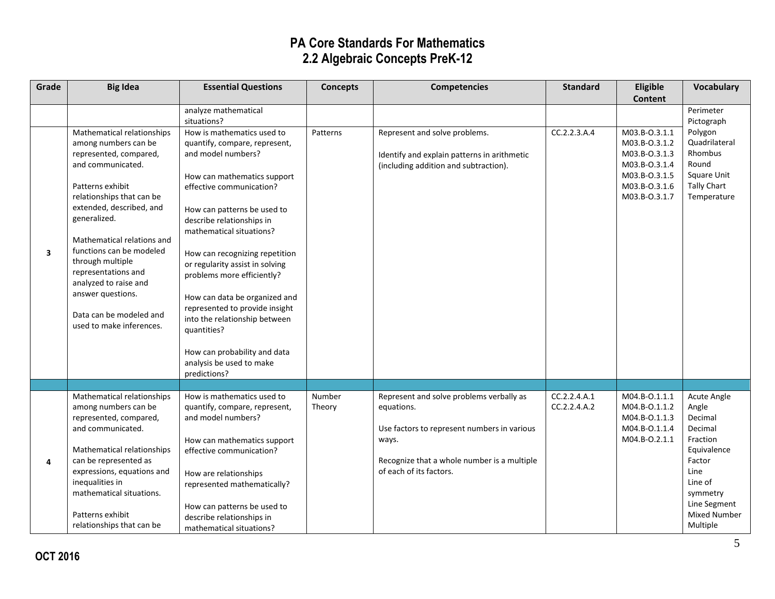| Grade | <b>Big Idea</b>                                                                                                                                                                                                                                                                                                                                   | <b>Essential Questions</b>                                                                                                                                                                                                                                                                                                                                                              | <b>Concepts</b>  | <b>Competencies</b>                                                                                                                                                                      | <b>Standard</b>              | Eligible                                                                                                            | <b>Vocabulary</b>                                                                                                                                          |
|-------|---------------------------------------------------------------------------------------------------------------------------------------------------------------------------------------------------------------------------------------------------------------------------------------------------------------------------------------------------|-----------------------------------------------------------------------------------------------------------------------------------------------------------------------------------------------------------------------------------------------------------------------------------------------------------------------------------------------------------------------------------------|------------------|------------------------------------------------------------------------------------------------------------------------------------------------------------------------------------------|------------------------------|---------------------------------------------------------------------------------------------------------------------|------------------------------------------------------------------------------------------------------------------------------------------------------------|
|       |                                                                                                                                                                                                                                                                                                                                                   |                                                                                                                                                                                                                                                                                                                                                                                         |                  |                                                                                                                                                                                          |                              | <b>Content</b>                                                                                                      |                                                                                                                                                            |
|       |                                                                                                                                                                                                                                                                                                                                                   | analyze mathematical                                                                                                                                                                                                                                                                                                                                                                    |                  |                                                                                                                                                                                          |                              |                                                                                                                     | Perimeter                                                                                                                                                  |
| 3     | Mathematical relationships<br>among numbers can be<br>represented, compared,<br>and communicated.<br>Patterns exhibit<br>relationships that can be<br>extended, described, and<br>generalized.<br>Mathematical relations and<br>functions can be modeled<br>through multiple<br>representations and<br>analyzed to raise and<br>answer questions. | situations?<br>How is mathematics used to<br>quantify, compare, represent,<br>and model numbers?<br>How can mathematics support<br>effective communication?<br>How can patterns be used to<br>describe relationships in<br>mathematical situations?<br>How can recognizing repetition<br>or regularity assist in solving<br>problems more efficiently?<br>How can data be organized and | Patterns         | Represent and solve problems.<br>Identify and explain patterns in arithmetic<br>(including addition and subtraction).                                                                    | CC.2.2.3.A.4                 | M03.B-0.3.1.1<br>M03.B-0.3.1.2<br>M03.B-0.3.1.3<br>M03.B-0.3.1.4<br>M03.B-0.3.1.5<br>M03.B-0.3.1.6<br>M03.B-0.3.1.7 | Pictograph<br>Polygon<br>Quadrilateral<br>Rhombus<br>Round<br>Square Unit<br><b>Tally Chart</b><br>Temperature                                             |
|       | Data can be modeled and<br>used to make inferences.                                                                                                                                                                                                                                                                                               | represented to provide insight<br>into the relationship between<br>quantities?<br>How can probability and data<br>analysis be used to make<br>predictions?                                                                                                                                                                                                                              |                  |                                                                                                                                                                                          |                              |                                                                                                                     |                                                                                                                                                            |
|       |                                                                                                                                                                                                                                                                                                                                                   |                                                                                                                                                                                                                                                                                                                                                                                         |                  |                                                                                                                                                                                          |                              |                                                                                                                     |                                                                                                                                                            |
| 4     | Mathematical relationships<br>among numbers can be<br>represented, compared,<br>and communicated.<br>Mathematical relationships<br>can be represented as<br>expressions, equations and<br>inequalities in<br>mathematical situations.<br>Patterns exhibit<br>relationships that can be                                                            | How is mathematics used to<br>quantify, compare, represent,<br>and model numbers?<br>How can mathematics support<br>effective communication?<br>How are relationships<br>represented mathematically?<br>How can patterns be used to<br>describe relationships in<br>mathematical situations?                                                                                            | Number<br>Theory | Represent and solve problems verbally as<br>equations.<br>Use factors to represent numbers in various<br>ways.<br>Recognize that a whole number is a multiple<br>of each of its factors. | CC.2.2.4.A.1<br>CC.2.2.4.A.2 | M04.B-0.1.1.1<br>M04.B-0.1.1.2<br>M04.B-0.1.1.3<br>M04.B-0.1.1.4<br>M04.B-O.2.1.1                                   | Acute Angle<br>Angle<br>Decimal<br>Decimal<br>Fraction<br>Equivalence<br>Factor<br>Line<br>Line of<br>symmetry<br>Line Segment<br>Mixed Number<br>Multiple |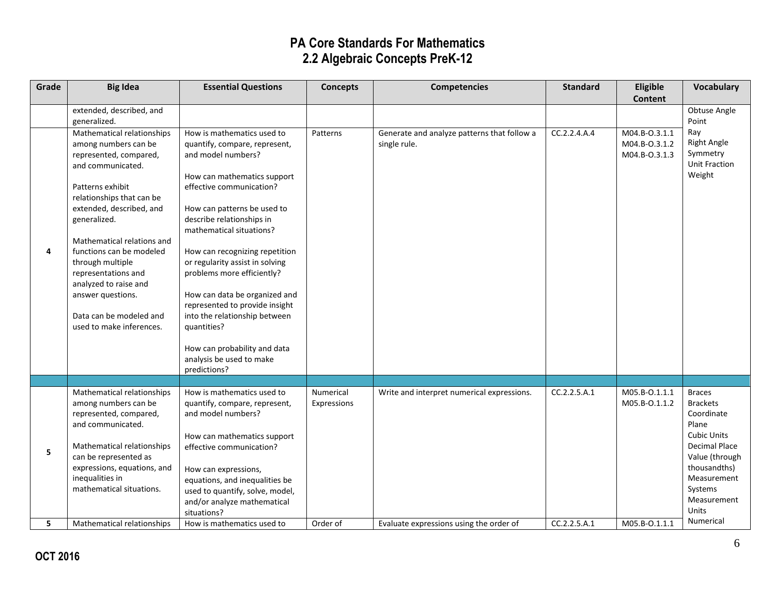| Grade | <b>Big Idea</b>                                                                                                                                                                                                                                                                                                                                                                                                          | <b>Essential Questions</b>                                                                                                                                                                                                                                                                                                                                                                                                                                                                                                             | <b>Concepts</b>          | <b>Competencies</b>                                         | <b>Standard</b> | Eligible                                        | <b>Vocabulary</b>                                                                                                                                                                                |
|-------|--------------------------------------------------------------------------------------------------------------------------------------------------------------------------------------------------------------------------------------------------------------------------------------------------------------------------------------------------------------------------------------------------------------------------|----------------------------------------------------------------------------------------------------------------------------------------------------------------------------------------------------------------------------------------------------------------------------------------------------------------------------------------------------------------------------------------------------------------------------------------------------------------------------------------------------------------------------------------|--------------------------|-------------------------------------------------------------|-----------------|-------------------------------------------------|--------------------------------------------------------------------------------------------------------------------------------------------------------------------------------------------------|
|       |                                                                                                                                                                                                                                                                                                                                                                                                                          |                                                                                                                                                                                                                                                                                                                                                                                                                                                                                                                                        |                          |                                                             |                 | <b>Content</b>                                  |                                                                                                                                                                                                  |
|       | extended, described, and                                                                                                                                                                                                                                                                                                                                                                                                 |                                                                                                                                                                                                                                                                                                                                                                                                                                                                                                                                        |                          |                                                             |                 |                                                 | Obtuse Angle<br>Point                                                                                                                                                                            |
| 4     | generalized.<br>Mathematical relationships<br>among numbers can be<br>represented, compared,<br>and communicated.<br>Patterns exhibit<br>relationships that can be<br>extended, described, and<br>generalized.<br>Mathematical relations and<br>functions can be modeled<br>through multiple<br>representations and<br>analyzed to raise and<br>answer questions.<br>Data can be modeled and<br>used to make inferences. | How is mathematics used to<br>quantify, compare, represent,<br>and model numbers?<br>How can mathematics support<br>effective communication?<br>How can patterns be used to<br>describe relationships in<br>mathematical situations?<br>How can recognizing repetition<br>or regularity assist in solving<br>problems more efficiently?<br>How can data be organized and<br>represented to provide insight<br>into the relationship between<br>quantities?<br>How can probability and data<br>analysis be used to make<br>predictions? | Patterns                 | Generate and analyze patterns that follow a<br>single rule. | CC.2.2.4.A.4    | M04.B-0.3.1.1<br>M04.B-0.3.1.2<br>M04.B-0.3.1.3 | Ray<br><b>Right Angle</b><br>Symmetry<br><b>Unit Fraction</b><br>Weight                                                                                                                          |
|       |                                                                                                                                                                                                                                                                                                                                                                                                                          |                                                                                                                                                                                                                                                                                                                                                                                                                                                                                                                                        |                          |                                                             |                 |                                                 |                                                                                                                                                                                                  |
| 5     | Mathematical relationships<br>among numbers can be<br>represented, compared,<br>and communicated.<br>Mathematical relationships<br>can be represented as<br>expressions, equations, and<br>inequalities in<br>mathematical situations.                                                                                                                                                                                   | How is mathematics used to<br>quantify, compare, represent,<br>and model numbers?<br>How can mathematics support<br>effective communication?<br>How can expressions,<br>equations, and inequalities be<br>used to quantify, solve, model,<br>and/or analyze mathematical<br>situations?                                                                                                                                                                                                                                                | Numerical<br>Expressions | Write and interpret numerical expressions.                  | CC.2.2.5.A.1    | M05.B-0.1.1.1<br>M05.B-0.1.1.2                  | <b>Braces</b><br><b>Brackets</b><br>Coordinate<br>Plane<br><b>Cubic Units</b><br><b>Decimal Place</b><br>Value (through<br>thousandths)<br>Measurement<br>Systems<br>Measurement<br><b>Units</b> |
| 5     | Mathematical relationships                                                                                                                                                                                                                                                                                                                                                                                               | How is mathematics used to                                                                                                                                                                                                                                                                                                                                                                                                                                                                                                             | Order of                 | Evaluate expressions using the order of                     | CC.2.2.5.A.1    | M05.B-O.1.1.1                                   | Numerical                                                                                                                                                                                        |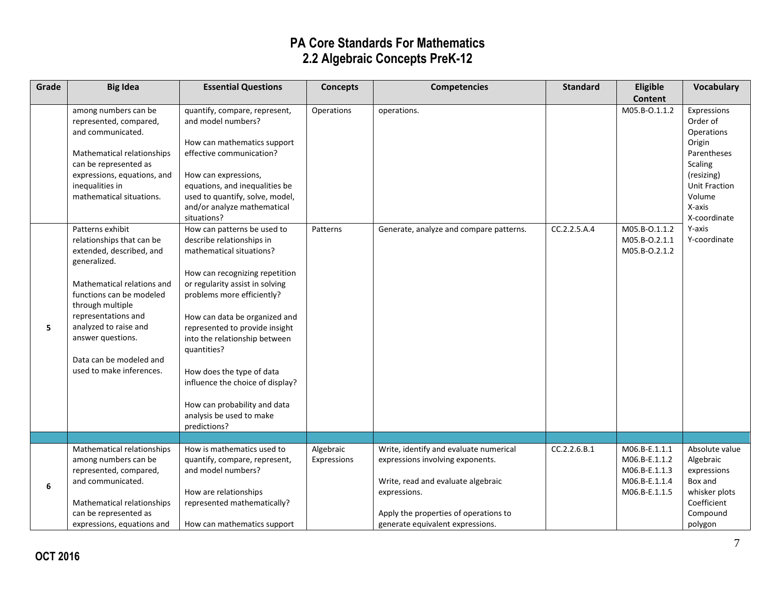| Grade | <b>Big Idea</b>                                                                                                                                                                                                                                                                                     | <b>Essential Questions</b>                                                                                                                                                                                                                                                                                                                                                                                                                              | <b>Concepts</b>          | <b>Competencies</b>                                                                                                                                                                                           | <b>Standard</b> | Eligible                                                                          | <b>Vocabulary</b>                                                                                                                                   |
|-------|-----------------------------------------------------------------------------------------------------------------------------------------------------------------------------------------------------------------------------------------------------------------------------------------------------|---------------------------------------------------------------------------------------------------------------------------------------------------------------------------------------------------------------------------------------------------------------------------------------------------------------------------------------------------------------------------------------------------------------------------------------------------------|--------------------------|---------------------------------------------------------------------------------------------------------------------------------------------------------------------------------------------------------------|-----------------|-----------------------------------------------------------------------------------|-----------------------------------------------------------------------------------------------------------------------------------------------------|
|       |                                                                                                                                                                                                                                                                                                     |                                                                                                                                                                                                                                                                                                                                                                                                                                                         |                          |                                                                                                                                                                                                               |                 | Content                                                                           |                                                                                                                                                     |
|       | among numbers can be<br>represented, compared,<br>and communicated.<br>Mathematical relationships<br>can be represented as<br>expressions, equations, and<br>inequalities in<br>mathematical situations.                                                                                            | quantify, compare, represent,<br>and model numbers?<br>How can mathematics support<br>effective communication?<br>How can expressions,<br>equations, and inequalities be<br>used to quantify, solve, model,<br>and/or analyze mathematical<br>situations?                                                                                                                                                                                               | Operations               | operations.                                                                                                                                                                                                   |                 | M05.B-0.1.1.2                                                                     | Expressions<br>Order of<br>Operations<br>Origin<br>Parentheses<br>Scaling<br>(resizing)<br><b>Unit Fraction</b><br>Volume<br>X-axis<br>X-coordinate |
| 5     | Patterns exhibit<br>relationships that can be<br>extended, described, and<br>generalized.<br>Mathematical relations and<br>functions can be modeled<br>through multiple<br>representations and<br>analyzed to raise and<br>answer questions.<br>Data can be modeled and<br>used to make inferences. | How can patterns be used to<br>describe relationships in<br>mathematical situations?<br>How can recognizing repetition<br>or regularity assist in solving<br>problems more efficiently?<br>How can data be organized and<br>represented to provide insight<br>into the relationship between<br>quantities?<br>How does the type of data<br>influence the choice of display?<br>How can probability and data<br>analysis be used to make<br>predictions? | Patterns                 | Generate, analyze and compare patterns.                                                                                                                                                                       | CC.2.2.5.A.4    | M05.B-0.1.1.2<br>M05.B-O.2.1.1<br>M05.B-0.2.1.2                                   | Y-axis<br>Y-coordinate                                                                                                                              |
|       |                                                                                                                                                                                                                                                                                                     |                                                                                                                                                                                                                                                                                                                                                                                                                                                         |                          |                                                                                                                                                                                                               |                 |                                                                                   |                                                                                                                                                     |
| 6     | Mathematical relationships<br>among numbers can be<br>represented, compared,<br>and communicated.<br>Mathematical relationships<br>can be represented as<br>expressions, equations and                                                                                                              | How is mathematics used to<br>quantify, compare, represent,<br>and model numbers?<br>How are relationships<br>represented mathematically?<br>How can mathematics support                                                                                                                                                                                                                                                                                | Algebraic<br>Expressions | Write, identify and evaluate numerical<br>expressions involving exponents.<br>Write, read and evaluate algebraic<br>expressions.<br>Apply the properties of operations to<br>generate equivalent expressions. | CC.2.2.6.B.1    | M06.B-E.1.1.1<br>M06.B-E.1.1.2<br>M06.B-E.1.1.3<br>M06.B-E.1.1.4<br>M06.B-E.1.1.5 | Absolute value<br>Algebraic<br>expressions<br>Box and<br>whisker plots<br>Coefficient<br>Compound<br>polygon                                        |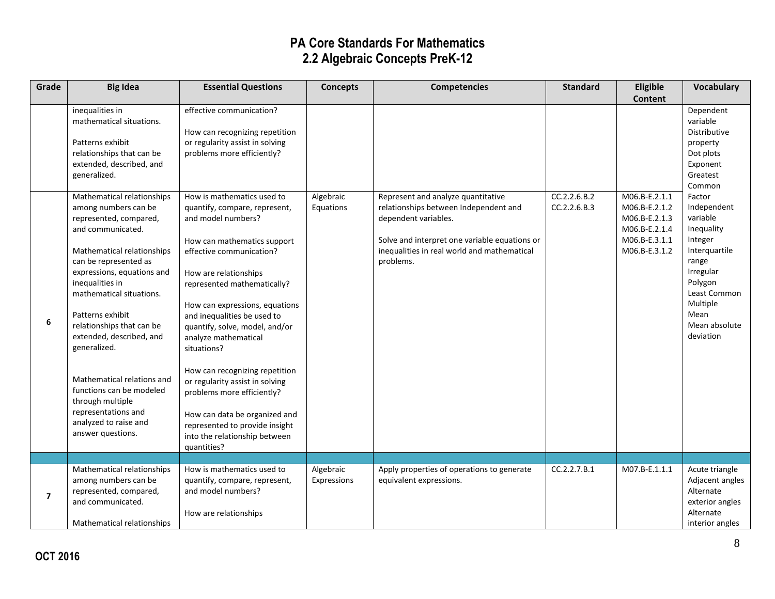| Grade                   | <b>Big Idea</b>                                                                                                                                                                                                                                                                                                                                                                                                                                                                       | <b>Essential Questions</b>                                                                                                                                                                                                                                                                                                                                                                                                                                                                                                                                           | <b>Concepts</b>          | <b>Competencies</b>                                                                                                                                                                                              | <b>Standard</b>              | Eligible                                                                                           | Vocabulary                                                                                                                                                                     |
|-------------------------|---------------------------------------------------------------------------------------------------------------------------------------------------------------------------------------------------------------------------------------------------------------------------------------------------------------------------------------------------------------------------------------------------------------------------------------------------------------------------------------|----------------------------------------------------------------------------------------------------------------------------------------------------------------------------------------------------------------------------------------------------------------------------------------------------------------------------------------------------------------------------------------------------------------------------------------------------------------------------------------------------------------------------------------------------------------------|--------------------------|------------------------------------------------------------------------------------------------------------------------------------------------------------------------------------------------------------------|------------------------------|----------------------------------------------------------------------------------------------------|--------------------------------------------------------------------------------------------------------------------------------------------------------------------------------|
|                         |                                                                                                                                                                                                                                                                                                                                                                                                                                                                                       |                                                                                                                                                                                                                                                                                                                                                                                                                                                                                                                                                                      |                          |                                                                                                                                                                                                                  |                              | <b>Content</b>                                                                                     |                                                                                                                                                                                |
|                         | inequalities in<br>mathematical situations.<br>Patterns exhibit<br>relationships that can be<br>extended, described, and<br>generalized.                                                                                                                                                                                                                                                                                                                                              | effective communication?<br>How can recognizing repetition<br>or regularity assist in solving<br>problems more efficiently?                                                                                                                                                                                                                                                                                                                                                                                                                                          |                          |                                                                                                                                                                                                                  |                              |                                                                                                    | Dependent<br>variable<br>Distributive<br>property<br>Dot plots<br>Exponent<br>Greatest<br>Common                                                                               |
| 6                       | Mathematical relationships<br>among numbers can be<br>represented, compared,<br>and communicated.<br>Mathematical relationships<br>can be represented as<br>expressions, equations and<br>inequalities in<br>mathematical situations.<br>Patterns exhibit<br>relationships that can be<br>extended, described, and<br>generalized.<br>Mathematical relations and<br>functions can be modeled<br>through multiple<br>representations and<br>analyzed to raise and<br>answer questions. | How is mathematics used to<br>quantify, compare, represent,<br>and model numbers?<br>How can mathematics support<br>effective communication?<br>How are relationships<br>represented mathematically?<br>How can expressions, equations<br>and inequalities be used to<br>quantify, solve, model, and/or<br>analyze mathematical<br>situations?<br>How can recognizing repetition<br>or regularity assist in solving<br>problems more efficiently?<br>How can data be organized and<br>represented to provide insight<br>into the relationship between<br>quantities? | Algebraic<br>Equations   | Represent and analyze quantitative<br>relationships between Independent and<br>dependent variables.<br>Solve and interpret one variable equations or<br>inequalities in real world and mathematical<br>problems. | CC.2.2.6.B.2<br>CC.2.2.6.B.3 | M06.B-E.2.1.1<br>M06.B-E.2.1.2<br>M06.B-E.2.1.3<br>M06.B-E.2.1.4<br>M06.B-E.3.1.1<br>M06.B-E.3.1.2 | Factor<br>Independent<br>variable<br>Inequality<br>Integer<br>Interquartile<br>range<br>Irregular<br>Polygon<br>Least Common<br>Multiple<br>Mean<br>Mean absolute<br>deviation |
|                         |                                                                                                                                                                                                                                                                                                                                                                                                                                                                                       |                                                                                                                                                                                                                                                                                                                                                                                                                                                                                                                                                                      |                          |                                                                                                                                                                                                                  |                              |                                                                                                    |                                                                                                                                                                                |
| $\overline{\mathbf{z}}$ | Mathematical relationships<br>among numbers can be<br>represented, compared,<br>and communicated.<br>Mathematical relationships                                                                                                                                                                                                                                                                                                                                                       | How is mathematics used to<br>quantify, compare, represent,<br>and model numbers?<br>How are relationships                                                                                                                                                                                                                                                                                                                                                                                                                                                           | Algebraic<br>Expressions | Apply properties of operations to generate<br>equivalent expressions.                                                                                                                                            | CC.2.2.7.B.1                 | M07.B-E.1.1.1                                                                                      | Acute triangle<br>Adjacent angles<br>Alternate<br>exterior angles<br>Alternate<br>interior angles                                                                              |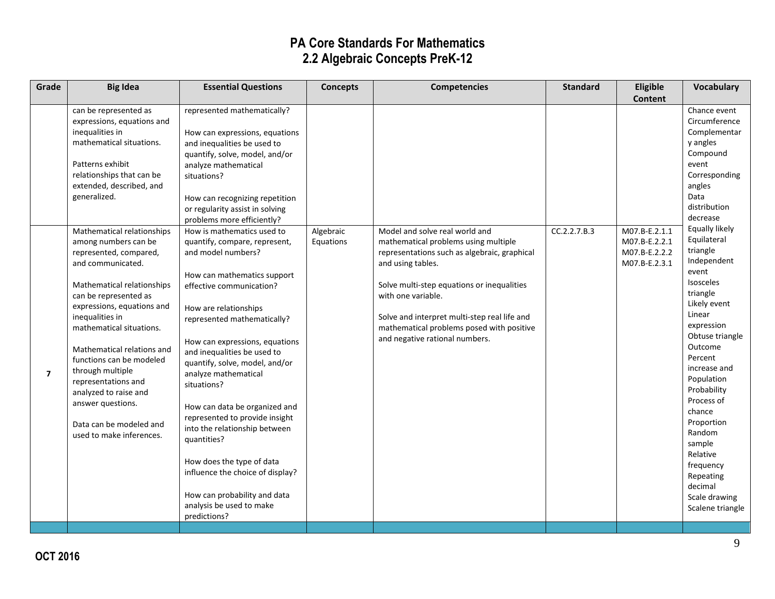| Grade          | <b>Big Idea</b>                                                                                                                                                                                                                                                                                                                                                                                                                                 | <b>Essential Questions</b>                                                                                                                                                                                                                                                                                                                                                                                                                                                                                                                                                                                     | <b>Concepts</b>        | <b>Competencies</b>                                                                                                                                                                                                                                                                                                                            | <b>Standard</b> | Eligible                                                         | <b>Vocabulary</b>                                                                                                                                                                                                                                                                                                                                                               |
|----------------|-------------------------------------------------------------------------------------------------------------------------------------------------------------------------------------------------------------------------------------------------------------------------------------------------------------------------------------------------------------------------------------------------------------------------------------------------|----------------------------------------------------------------------------------------------------------------------------------------------------------------------------------------------------------------------------------------------------------------------------------------------------------------------------------------------------------------------------------------------------------------------------------------------------------------------------------------------------------------------------------------------------------------------------------------------------------------|------------------------|------------------------------------------------------------------------------------------------------------------------------------------------------------------------------------------------------------------------------------------------------------------------------------------------------------------------------------------------|-----------------|------------------------------------------------------------------|---------------------------------------------------------------------------------------------------------------------------------------------------------------------------------------------------------------------------------------------------------------------------------------------------------------------------------------------------------------------------------|
|                |                                                                                                                                                                                                                                                                                                                                                                                                                                                 |                                                                                                                                                                                                                                                                                                                                                                                                                                                                                                                                                                                                                |                        |                                                                                                                                                                                                                                                                                                                                                |                 | <b>Content</b>                                                   |                                                                                                                                                                                                                                                                                                                                                                                 |
|                | can be represented as<br>expressions, equations and<br>inequalities in<br>mathematical situations.<br>Patterns exhibit<br>relationships that can be<br>extended, described, and<br>generalized.                                                                                                                                                                                                                                                 | represented mathematically?<br>How can expressions, equations<br>and inequalities be used to<br>quantify, solve, model, and/or<br>analyze mathematical<br>situations?<br>How can recognizing repetition<br>or regularity assist in solving<br>problems more efficiently?                                                                                                                                                                                                                                                                                                                                       |                        |                                                                                                                                                                                                                                                                                                                                                |                 |                                                                  | Chance event<br>Circumference<br>Complementar<br>y angles<br>Compound<br>event<br>Corresponding<br>angles<br>Data<br>distribution<br>decrease                                                                                                                                                                                                                                   |
| $\overline{ }$ | Mathematical relationships<br>among numbers can be<br>represented, compared,<br>and communicated.<br>Mathematical relationships<br>can be represented as<br>expressions, equations and<br>inequalities in<br>mathematical situations.<br>Mathematical relations and<br>functions can be modeled<br>through multiple<br>representations and<br>analyzed to raise and<br>answer questions.<br>Data can be modeled and<br>used to make inferences. | How is mathematics used to<br>quantify, compare, represent,<br>and model numbers?<br>How can mathematics support<br>effective communication?<br>How are relationships<br>represented mathematically?<br>How can expressions, equations<br>and inequalities be used to<br>quantify, solve, model, and/or<br>analyze mathematical<br>situations?<br>How can data be organized and<br>represented to provide insight<br>into the relationship between<br>quantities?<br>How does the type of data<br>influence the choice of display?<br>How can probability and data<br>analysis be used to make<br>predictions? | Algebraic<br>Equations | Model and solve real world and<br>mathematical problems using multiple<br>representations such as algebraic, graphical<br>and using tables.<br>Solve multi-step equations or inequalities<br>with one variable.<br>Solve and interpret multi-step real life and<br>mathematical problems posed with positive<br>and negative rational numbers. | CC.2.2.7.B.3    | M07.B-E.2.1.1<br>M07.B-E.2.2.1<br>M07.B-E.2.2.2<br>M07.B-E.2.3.1 | Equally likely<br>Equilateral<br>triangle<br>Independent<br>event<br><b>Isosceles</b><br>triangle<br>Likely event<br>Linear<br>expression<br>Obtuse triangle<br>Outcome<br>Percent<br>increase and<br>Population<br>Probability<br>Process of<br>chance<br>Proportion<br>Random<br>sample<br>Relative<br>frequency<br>Repeating<br>decimal<br>Scale drawing<br>Scalene triangle |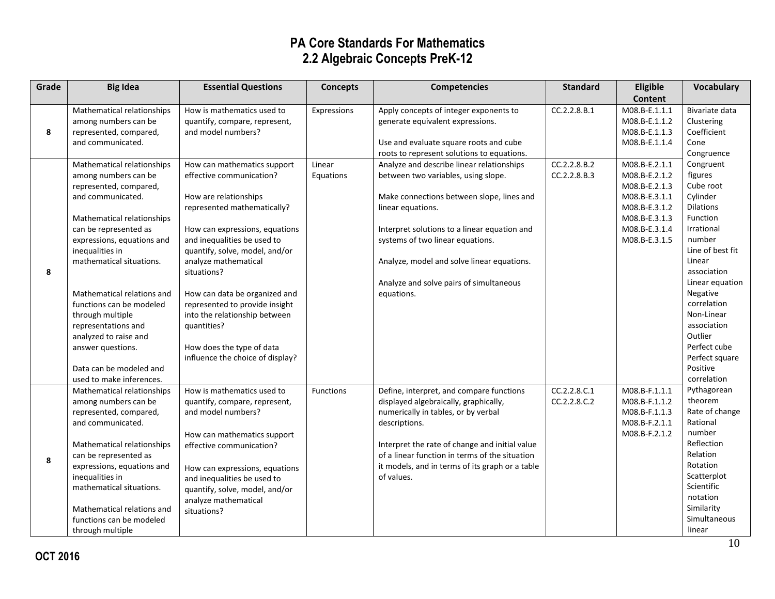| Grade | <b>Big Idea</b>                                     | <b>Essential Questions</b>                                    | <b>Concepts</b> | <b>Competencies</b>                                                              | <b>Standard</b> | Eligible                       | Vocabulary                 |
|-------|-----------------------------------------------------|---------------------------------------------------------------|-----------------|----------------------------------------------------------------------------------|-----------------|--------------------------------|----------------------------|
|       |                                                     |                                                               |                 |                                                                                  |                 | Content                        |                            |
|       | Mathematical relationships                          | How is mathematics used to                                    | Expressions     | Apply concepts of integer exponents to                                           | CC.2.2.8.B.1    | M08.B-E.1.1.1                  | Bivariate data             |
|       | among numbers can be                                | quantify, compare, represent,                                 |                 | generate equivalent expressions.                                                 |                 | M08.B-E.1.1.2                  | Clustering                 |
| 8     | represented, compared,                              | and model numbers?                                            |                 |                                                                                  |                 | M08.B-E.1.1.3                  | Coefficient                |
|       | and communicated.                                   |                                                               |                 | Use and evaluate square roots and cube                                           |                 | M08.B-E.1.1.4                  | Cone                       |
|       |                                                     |                                                               |                 | roots to represent solutions to equations.                                       |                 |                                | Congruence                 |
|       | Mathematical relationships                          | How can mathematics support                                   | Linear          | Analyze and describe linear relationships                                        | CC.2.2.8.B.2    | M08.B-E.2.1.1                  | Congruent                  |
|       | among numbers can be                                | effective communication?                                      | Equations       | between two variables, using slope.                                              | CC.2.2.8.B.3    | M08.B-E.2.1.2                  | figures                    |
|       | represented, compared,                              |                                                               |                 |                                                                                  |                 | M08.B-E.2.1.3                  | Cube root                  |
|       | and communicated.                                   | How are relationships                                         |                 | Make connections between slope, lines and                                        |                 | M08.B-E.3.1.1                  | Cylinder                   |
|       |                                                     | represented mathematically?                                   |                 | linear equations.                                                                |                 | M08.B-E.3.1.2                  | <b>Dilations</b>           |
|       | Mathematical relationships                          |                                                               |                 |                                                                                  |                 | M08.B-E.3.1.3                  | Function<br>Irrational     |
|       | can be represented as<br>expressions, equations and | How can expressions, equations<br>and inequalities be used to |                 | Interpret solutions to a linear equation and<br>systems of two linear equations. |                 | M08.B-E.3.1.4<br>M08.B-E.3.1.5 | number                     |
|       | inequalities in                                     | quantify, solve, model, and/or                                |                 |                                                                                  |                 |                                | Line of best fit           |
|       | mathematical situations.                            | analyze mathematical                                          |                 | Analyze, model and solve linear equations.                                       |                 |                                | Linear                     |
| 8     |                                                     | situations?                                                   |                 |                                                                                  |                 |                                | association                |
|       |                                                     |                                                               |                 | Analyze and solve pairs of simultaneous                                          |                 |                                | Linear equation            |
|       | Mathematical relations and                          | How can data be organized and                                 |                 | equations.                                                                       |                 |                                | Negative                   |
|       | functions can be modeled                            | represented to provide insight                                |                 |                                                                                  |                 |                                | correlation                |
|       | through multiple                                    | into the relationship between                                 |                 |                                                                                  |                 |                                | Non-Linear                 |
|       | representations and                                 | quantities?                                                   |                 |                                                                                  |                 |                                | association                |
|       | analyzed to raise and                               |                                                               |                 |                                                                                  |                 |                                | Outlier                    |
|       | answer questions.                                   | How does the type of data                                     |                 |                                                                                  |                 |                                | Perfect cube               |
|       |                                                     | influence the choice of display?                              |                 |                                                                                  |                 |                                | Perfect square             |
|       | Data can be modeled and                             |                                                               |                 |                                                                                  |                 |                                | Positive                   |
|       | used to make inferences.                            |                                                               |                 |                                                                                  |                 |                                | correlation                |
|       | Mathematical relationships                          | How is mathematics used to                                    | Functions       | Define, interpret, and compare functions                                         | CC.2.2.8.C.1    | M08.B-F.1.1.1                  | Pythagorean                |
|       | among numbers can be                                | quantify, compare, represent,                                 |                 | displayed algebraically, graphically,                                            | CC.2.2.8.C.2    | M08.B-F.1.1.2                  | theorem                    |
|       | represented, compared,                              | and model numbers?                                            |                 | numerically in tables, or by verbal                                              |                 | M08.B-F.1.1.3                  | Rate of change<br>Rational |
|       | and communicated.                                   |                                                               |                 | descriptions.                                                                    |                 | M08.B-F.2.1.1                  | number                     |
|       |                                                     | How can mathematics support                                   |                 | Interpret the rate of change and initial value                                   |                 | M08.B-F.2.1.2                  | Reflection                 |
|       | Mathematical relationships<br>can be represented as | effective communication?                                      |                 | of a linear function in terms of the situation                                   |                 |                                | Relation                   |
| 8     | expressions, equations and                          |                                                               |                 | it models, and in terms of its graph or a table                                  |                 |                                | Rotation                   |
|       | inequalities in                                     | How can expressions, equations                                |                 | of values.                                                                       |                 |                                | Scatterplot                |
|       | mathematical situations.                            | and inequalities be used to                                   |                 |                                                                                  |                 |                                | Scientific                 |
|       |                                                     | quantify, solve, model, and/or<br>analyze mathematical        |                 |                                                                                  |                 |                                | notation                   |
|       | Mathematical relations and                          | situations?                                                   |                 |                                                                                  |                 |                                | Similarity                 |
|       | functions can be modeled                            |                                                               |                 |                                                                                  |                 |                                | Simultaneous               |
|       | through multiple                                    |                                                               |                 |                                                                                  |                 |                                | linear                     |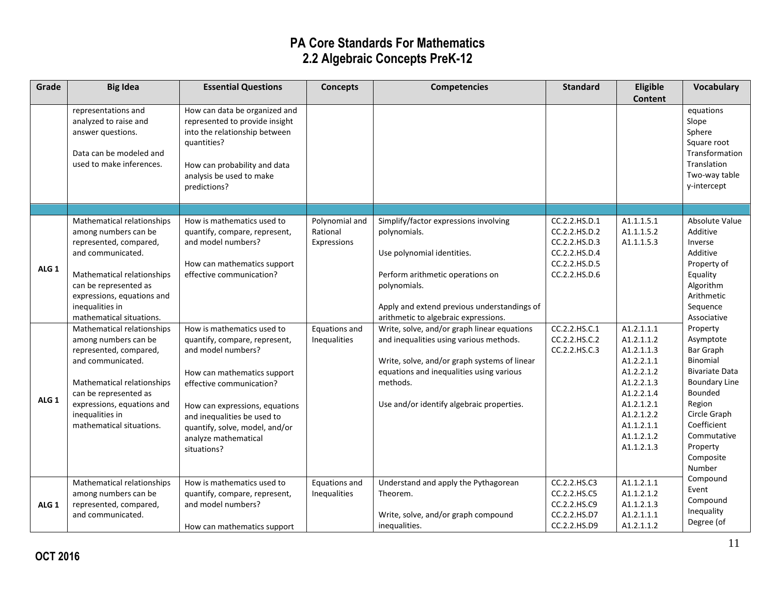| Grade            | <b>Big Idea</b>                                                                                                                                                                                                                                                                                                       | <b>Essential Questions</b>                                                                                                                                                                                                        | <b>Concepts</b>                                                            | <b>Competencies</b>                                                                                                                                                                                                                                                                                                      | <b>Standard</b>                                                                                                                                       | Eligible                                                                                                                   | Vocabulary                                                                                                                                                               |
|------------------|-----------------------------------------------------------------------------------------------------------------------------------------------------------------------------------------------------------------------------------------------------------------------------------------------------------------------|-----------------------------------------------------------------------------------------------------------------------------------------------------------------------------------------------------------------------------------|----------------------------------------------------------------------------|--------------------------------------------------------------------------------------------------------------------------------------------------------------------------------------------------------------------------------------------------------------------------------------------------------------------------|-------------------------------------------------------------------------------------------------------------------------------------------------------|----------------------------------------------------------------------------------------------------------------------------|--------------------------------------------------------------------------------------------------------------------------------------------------------------------------|
|                  | representations and<br>analyzed to raise and<br>answer questions.<br>Data can be modeled and<br>used to make inferences.                                                                                                                                                                                              | How can data be organized and<br>represented to provide insight<br>into the relationship between<br>quantities?<br>How can probability and data<br>analysis be used to make<br>predictions?                                       |                                                                            |                                                                                                                                                                                                                                                                                                                          |                                                                                                                                                       | <b>Content</b>                                                                                                             | equations<br>Slope<br>Sphere<br>Square root<br>Transformation<br>Translation<br>Two-way table<br>y-intercept                                                             |
| ALG <sub>1</sub> | Mathematical relationships<br>among numbers can be<br>represented, compared,<br>and communicated.<br>Mathematical relationships<br>can be represented as<br>expressions, equations and<br>inequalities in<br>mathematical situations.<br>Mathematical relationships<br>among numbers can be<br>represented, compared, | How is mathematics used to<br>quantify, compare, represent,<br>and model numbers?<br>How can mathematics support<br>effective communication?<br>How is mathematics used to<br>quantify, compare, represent,<br>and model numbers? | Polynomial and<br>Rational<br>Expressions<br>Equations and<br>Inequalities | Simplify/factor expressions involving<br>polynomials.<br>Use polynomial identities.<br>Perform arithmetic operations on<br>polynomials.<br>Apply and extend previous understandings of<br>arithmetic to algebraic expressions.<br>Write, solve, and/or graph linear equations<br>and inequalities using various methods. | CC.2.2.HS.D.1<br>CC.2.2.HS.D.2<br>CC.2.2.HS.D.3<br>CC.2.2.HS.D.4<br>CC.2.2.HS.D.5<br>CC.2.2.HS.D.6<br>CC.2.2.HS.C.1<br>CC.2.2.HS.C.2<br>CC.2.2.HS.C.3 | A1.1.1.5.1<br>A1.1.1.5.2<br>A1.1.1.5.3<br>A1.2.1.1.1<br>A1.2.1.1.2<br>A1.2.1.1.3                                           | Absolute Value<br>Additive<br>Inverse<br>Additive<br>Property of<br>Equality<br>Algorithm<br>Arithmetic<br>Sequence<br>Associative<br>Property<br>Asymptote<br>Bar Graph |
| ALG <sub>1</sub> | and communicated.<br>Mathematical relationships<br>can be represented as<br>expressions, equations and<br>inequalities in<br>mathematical situations.                                                                                                                                                                 | How can mathematics support<br>effective communication?<br>How can expressions, equations<br>and inequalities be used to<br>quantify, solve, model, and/or<br>analyze mathematical<br>situations?                                 |                                                                            | Write, solve, and/or graph systems of linear<br>equations and inequalities using various<br>methods.<br>Use and/or identify algebraic properties.                                                                                                                                                                        |                                                                                                                                                       | A1.2.2.1.1<br>A1.2.2.1.2<br>A1.2.2.1.3<br>A1.2.2.1.4<br>A1.2.1.2.1<br>A1.2.1.2.2<br>A1.1.2.1.1<br>A1.1.2.1.2<br>A1.1.2.1.3 | Binomial<br><b>Bivariate Data</b><br><b>Boundary Line</b><br>Bounded<br>Region<br>Circle Graph<br>Coefficient<br>Commutative<br>Property<br>Composite<br>Number          |
| ALG <sub>1</sub> | Mathematical relationships<br>among numbers can be<br>represented, compared,<br>and communicated.                                                                                                                                                                                                                     | How is mathematics used to<br>quantify, compare, represent,<br>and model numbers?<br>How can mathematics support                                                                                                                  | Equations and<br>Inequalities                                              | Understand and apply the Pythagorean<br>Theorem.<br>Write, solve, and/or graph compound<br>inequalities.                                                                                                                                                                                                                 | CC.2.2.HS.C3<br>CC.2.2.HS.C5<br>CC.2.2.HS.C9<br>CC.2.2.HS.D7<br>CC.2.2.HS.D9                                                                          | A1.1.2.1.1<br>A1.1.2.1.2<br>A1.1.2.1.3<br>A1.2.1.1.1<br>A1.2.1.1.2                                                         | Compound<br>Event<br>Compound<br>Inequality<br>Degree (of                                                                                                                |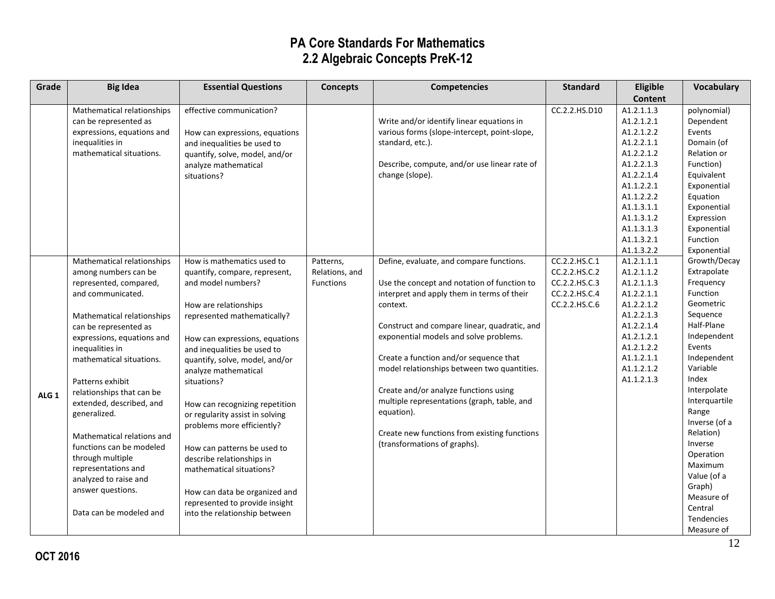| Grade            | <b>Big Idea</b>                            | <b>Essential Questions</b>      | <b>Concepts</b>  | <b>Competencies</b>                          | <b>Standard</b> | Eligible                 | Vocabulary            |
|------------------|--------------------------------------------|---------------------------------|------------------|----------------------------------------------|-----------------|--------------------------|-----------------------|
|                  |                                            |                                 |                  |                                              |                 | <b>Content</b>           |                       |
|                  | Mathematical relationships                 | effective communication?        |                  |                                              | CC.2.2.HS.D10   | A1.2.1.1.3               | polynomial)           |
|                  | can be represented as                      |                                 |                  | Write and/or identify linear equations in    |                 | A1.2.1.2.1               | Dependent             |
|                  | expressions, equations and                 | How can expressions, equations  |                  | various forms (slope-intercept, point-slope, |                 | A1.2.1.2.2               | Events                |
|                  | inequalities in                            | and inequalities be used to     |                  | standard, etc.).                             |                 | A1.2.2.1.1               | Domain (of            |
|                  | mathematical situations.                   | quantify, solve, model, and/or  |                  |                                              |                 | A1.2.2.1.2               | Relation or           |
|                  |                                            | analyze mathematical            |                  | Describe, compute, and/or use linear rate of |                 | A1.2.2.1.3               | Function)             |
|                  |                                            | situations?                     |                  | change (slope).                              |                 | A1.2.2.1.4               | Equivalent            |
|                  |                                            |                                 |                  |                                              |                 | A1.1.2.2.1               | Exponential           |
|                  |                                            |                                 |                  |                                              |                 | A1.1.2.2.2               | Equation              |
|                  |                                            |                                 |                  |                                              |                 | A1.1.3.1.1               | Exponential           |
|                  |                                            |                                 |                  |                                              |                 | A1.1.3.1.2               | Expression            |
|                  |                                            |                                 |                  |                                              |                 | A1.1.3.1.3               | Exponential           |
|                  |                                            |                                 |                  |                                              |                 | A1.1.3.2.1               | Function              |
|                  |                                            |                                 |                  |                                              |                 | A1.1.3.2.2               | Exponential           |
|                  | Mathematical relationships                 | How is mathematics used to      | Patterns,        | Define, evaluate, and compare functions.     | CC.2.2.HS.C.1   | A1.2.1.1.1               | Growth/Decay          |
|                  | among numbers can be                       | quantify, compare, represent,   | Relations, and   |                                              | CC.2.2.HS.C.2   | A1.2.1.1.2               | Extrapolate           |
|                  | represented, compared,                     | and model numbers?              | <b>Functions</b> | Use the concept and notation of function to  | CC.2.2.HS.C.3   | A1.2.1.1.3               | Frequency             |
|                  | and communicated.                          |                                 |                  | interpret and apply them in terms of their   | CC.2.2.HS.C.4   | A1.2.2.1.1               | Function              |
|                  |                                            | How are relationships           |                  | context.                                     | CC.2.2.HS.C.6   | A1.2.2.1.2               | Geometric             |
|                  | Mathematical relationships                 | represented mathematically?     |                  |                                              |                 | A1.2.2.1.3               | Sequence              |
|                  | can be represented as                      |                                 |                  | Construct and compare linear, quadratic, and |                 | A1.2.2.1.4               | Half-Plane            |
|                  | expressions, equations and                 | How can expressions, equations  |                  | exponential models and solve problems.       |                 | A1.2.1.2.1               | Independent           |
|                  | inequalities in                            | and inequalities be used to     |                  |                                              |                 | A1.2.1.2.2               | Events<br>Independent |
|                  | mathematical situations.                   | quantify, solve, model, and/or  |                  | Create a function and/or sequence that       |                 | A1.1.2.1.1               | Variable              |
|                  |                                            | analyze mathematical            |                  | model relationships between two quantities.  |                 | A1.1.2.1.2<br>A1.1.2.1.3 | Index                 |
|                  | Patterns exhibit                           | situations?                     |                  | Create and/or analyze functions using        |                 |                          | Interpolate           |
| ALG <sub>1</sub> | relationships that can be                  |                                 |                  | multiple representations (graph, table, and  |                 |                          | Interquartile         |
|                  | extended, described, and                   | How can recognizing repetition  |                  | equation).                                   |                 |                          | Range                 |
|                  | generalized.                               | or regularity assist in solving |                  |                                              |                 |                          | Inverse (of a         |
|                  |                                            | problems more efficiently?      |                  | Create new functions from existing functions |                 |                          | Relation)             |
|                  | Mathematical relations and                 |                                 |                  | (transformations of graphs).                 |                 |                          | Inverse               |
|                  | functions can be modeled                   | How can patterns be used to     |                  |                                              |                 |                          | Operation             |
|                  | through multiple                           | describe relationships in       |                  |                                              |                 |                          | Maximum               |
|                  | representations and                        | mathematical situations?        |                  |                                              |                 |                          | Value (of a           |
|                  | analyzed to raise and<br>answer questions. |                                 |                  |                                              |                 |                          | Graph)                |
|                  |                                            | How can data be organized and   |                  |                                              |                 |                          | Measure of            |
|                  |                                            | represented to provide insight  |                  |                                              |                 |                          | Central               |
|                  | Data can be modeled and                    | into the relationship between   |                  |                                              |                 |                          | <b>Tendencies</b>     |
|                  |                                            |                                 |                  |                                              |                 |                          | Measure of            |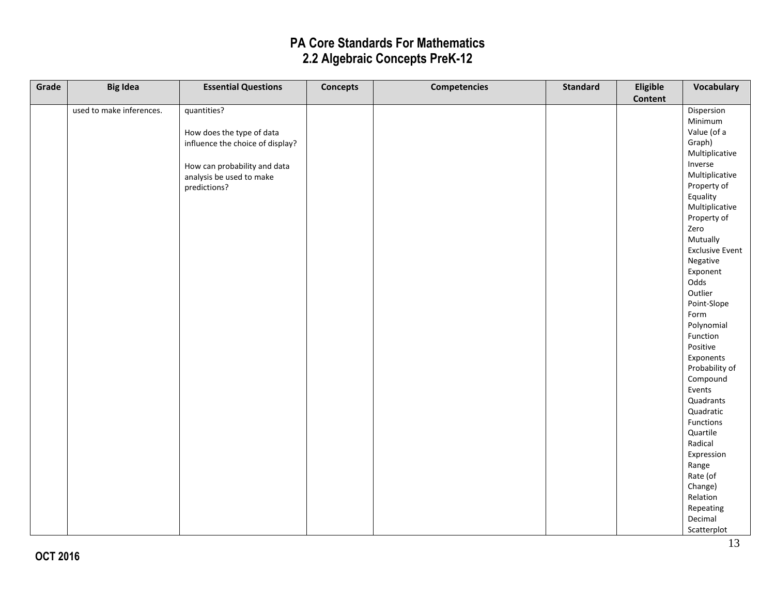| Grade | <b>Big Idea</b>          | <b>Essential Questions</b>       | <b>Concepts</b> | <b>Competencies</b> | <b>Standard</b> | Eligible       | Vocabulary             |
|-------|--------------------------|----------------------------------|-----------------|---------------------|-----------------|----------------|------------------------|
|       |                          |                                  |                 |                     |                 | <b>Content</b> |                        |
|       | used to make inferences. | quantities?                      |                 |                     |                 |                | Dispersion             |
|       |                          |                                  |                 |                     |                 |                | Minimum                |
|       |                          | How does the type of data        |                 |                     |                 |                | Value (of a            |
|       |                          | influence the choice of display? |                 |                     |                 |                | Graph)                 |
|       |                          |                                  |                 |                     |                 |                | Multiplicative         |
|       |                          | How can probability and data     |                 |                     |                 |                | Inverse                |
|       |                          | analysis be used to make         |                 |                     |                 |                | Multiplicative         |
|       |                          | predictions?                     |                 |                     |                 |                | Property of            |
|       |                          |                                  |                 |                     |                 |                | Equality               |
|       |                          |                                  |                 |                     |                 |                | Multiplicative         |
|       |                          |                                  |                 |                     |                 |                | Property of            |
|       |                          |                                  |                 |                     |                 |                | Zero                   |
|       |                          |                                  |                 |                     |                 |                | Mutually               |
|       |                          |                                  |                 |                     |                 |                | <b>Exclusive Event</b> |
|       |                          |                                  |                 |                     |                 |                | Negative               |
|       |                          |                                  |                 |                     |                 |                | Exponent               |
|       |                          |                                  |                 |                     |                 |                | Odds                   |
|       |                          |                                  |                 |                     |                 |                | Outlier                |
|       |                          |                                  |                 |                     |                 |                | Point-Slope            |
|       |                          |                                  |                 |                     |                 |                | Form                   |
|       |                          |                                  |                 |                     |                 |                | Polynomial             |
|       |                          |                                  |                 |                     |                 |                | Function               |
|       |                          |                                  |                 |                     |                 |                | Positive               |
|       |                          |                                  |                 |                     |                 |                | Exponents              |
|       |                          |                                  |                 |                     |                 |                | Probability of         |
|       |                          |                                  |                 |                     |                 |                | Compound               |
|       |                          |                                  |                 |                     |                 |                | Events                 |
|       |                          |                                  |                 |                     |                 |                | Quadrants              |
|       |                          |                                  |                 |                     |                 |                | Quadratic              |
|       |                          |                                  |                 |                     |                 |                | Functions              |
|       |                          |                                  |                 |                     |                 |                | Quartile               |
|       |                          |                                  |                 |                     |                 |                | Radical                |
|       |                          |                                  |                 |                     |                 |                | Expression             |
|       |                          |                                  |                 |                     |                 |                | Range                  |
|       |                          |                                  |                 |                     |                 |                | Rate (of               |
|       |                          |                                  |                 |                     |                 |                | Change)                |
|       |                          |                                  |                 |                     |                 |                | Relation               |
|       |                          |                                  |                 |                     |                 |                | Repeating              |
|       |                          |                                  |                 |                     |                 |                | Decimal                |
|       |                          |                                  |                 |                     |                 |                | Scatterplot            |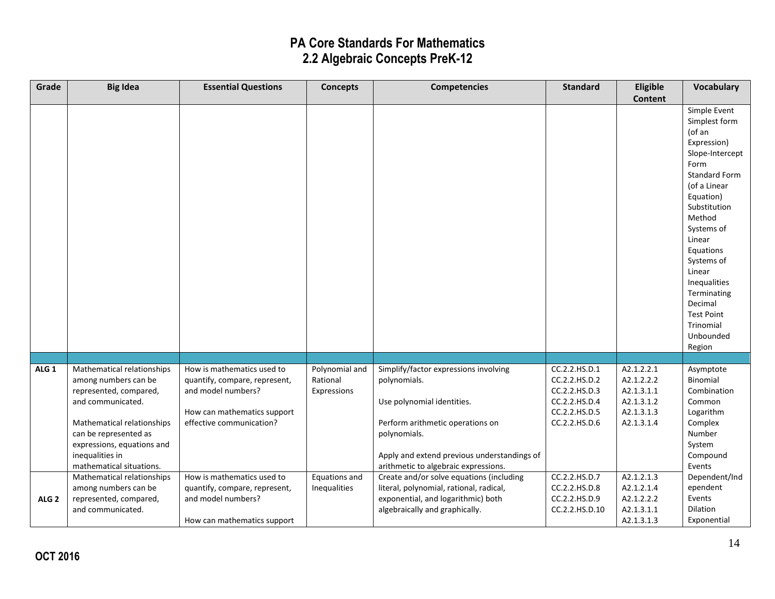| Grade            | <b>Big Idea</b>                                                                                                                                                                                                                       | <b>Essential Questions</b>                                                                                                                   | <b>Concepts</b>                           | <b>Competencies</b>                                                                                                                                                                                                            | <b>Standard</b>                                                                                    | Eligible                                                                         | <b>Vocabulary</b>                                                                                                                                                                                                                                                                                                                |
|------------------|---------------------------------------------------------------------------------------------------------------------------------------------------------------------------------------------------------------------------------------|----------------------------------------------------------------------------------------------------------------------------------------------|-------------------------------------------|--------------------------------------------------------------------------------------------------------------------------------------------------------------------------------------------------------------------------------|----------------------------------------------------------------------------------------------------|----------------------------------------------------------------------------------|----------------------------------------------------------------------------------------------------------------------------------------------------------------------------------------------------------------------------------------------------------------------------------------------------------------------------------|
|                  |                                                                                                                                                                                                                                       |                                                                                                                                              |                                           |                                                                                                                                                                                                                                |                                                                                                    | <b>Content</b>                                                                   |                                                                                                                                                                                                                                                                                                                                  |
|                  |                                                                                                                                                                                                                                       |                                                                                                                                              |                                           |                                                                                                                                                                                                                                |                                                                                                    |                                                                                  | Simple Event<br>Simplest form<br>(of an<br>Expression)<br>Slope-Intercept<br>Form<br><b>Standard Form</b><br>(of a Linear<br>Equation)<br>Substitution<br>Method<br>Systems of<br>Linear<br>Equations<br>Systems of<br>Linear<br>Inequalities<br>Terminating<br>Decimal<br><b>Test Point</b><br>Trinomial<br>Unbounded<br>Region |
|                  |                                                                                                                                                                                                                                       |                                                                                                                                              |                                           |                                                                                                                                                                                                                                |                                                                                                    |                                                                                  |                                                                                                                                                                                                                                                                                                                                  |
| ALG <sub>1</sub> | Mathematical relationships<br>among numbers can be<br>represented, compared,<br>and communicated.<br>Mathematical relationships<br>can be represented as<br>expressions, equations and<br>inequalities in<br>mathematical situations. | How is mathematics used to<br>quantify, compare, represent,<br>and model numbers?<br>How can mathematics support<br>effective communication? | Polynomial and<br>Rational<br>Expressions | Simplify/factor expressions involving<br>polynomials.<br>Use polynomial identities.<br>Perform arithmetic operations on<br>polynomials.<br>Apply and extend previous understandings of<br>arithmetic to algebraic expressions. | CC.2.2.HS.D.1<br>CC.2.2.HS.D.2<br>CC.2.2.HS.D.3<br>CC.2.2.HS.D.4<br>CC.2.2.HS.D.5<br>CC.2.2.HS.D.6 | A2.1.2.2.1<br>A2.1.2.2.2<br>A2.1.3.1.1<br>A2.1.3.1.2<br>A2.1.3.1.3<br>A2.1.3.1.4 | Asymptote<br>Binomial<br>Combination<br>Common<br>Logarithm<br>Complex<br>Number<br>System<br>Compound<br>Events                                                                                                                                                                                                                 |
| ALG <sub>2</sub> | Mathematical relationships<br>among numbers can be<br>represented, compared,<br>and communicated.                                                                                                                                     | How is mathematics used to<br>quantify, compare, represent,<br>and model numbers?<br>How can mathematics support                             | Equations and<br>Inequalities             | Create and/or solve equations (including<br>literal, polynomial, rational, radical,<br>exponential, and logarithmic) both<br>algebraically and graphically.                                                                    | CC.2.2.HS.D.7<br>CC.2.2.HS.D.8<br>CC.2.2.HS.D.9<br>CC.2.2.HS.D.10                                  | A2.1.2.1.3<br>A2.1.2.1.4<br>A2.1.2.2.2<br>A2.1.3.1.1<br>A2.1.3.1.3               | Dependent/Ind<br>ependent<br>Events<br>Dilation<br>Exponential                                                                                                                                                                                                                                                                   |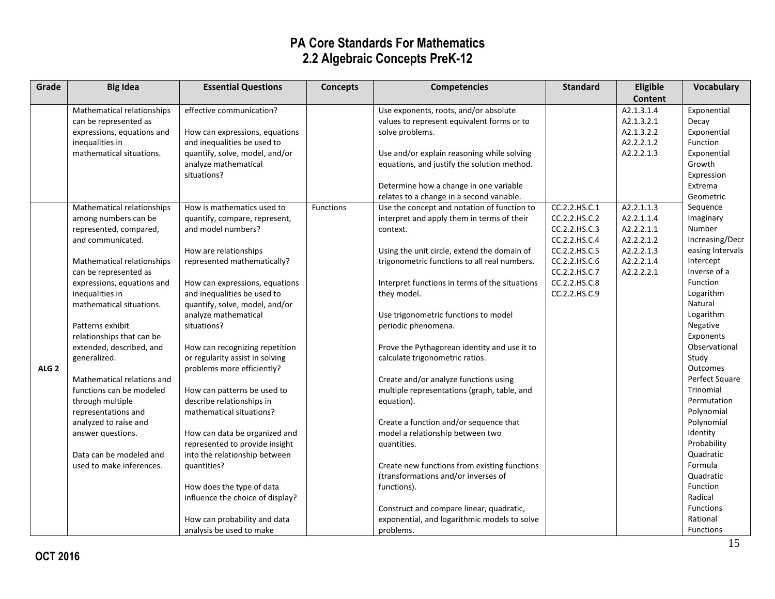| Grade            | <b>Big Idea</b>            | <b>Essential Questions</b>       | <b>Concepts</b> | <b>Competencies</b>                            | <b>Standard</b> | Eligible   | Vocabulary       |
|------------------|----------------------------|----------------------------------|-----------------|------------------------------------------------|-----------------|------------|------------------|
|                  |                            |                                  |                 |                                                |                 | Content    |                  |
|                  | Mathematical relationships | effective communication?         |                 | Use exponents, roots, and/or absolute          |                 | A2.1.3.1.4 | Exponential      |
|                  | can be represented as      |                                  |                 | values to represent equivalent forms or to     |                 | A2.1.3.2.1 | Decay            |
|                  | expressions, equations and | How can expressions, equations   |                 | solve problems.                                |                 | A2.1.3.2.2 | Exponential      |
|                  | inequalities in            | and inequalities be used to      |                 |                                                |                 | A2.2.2.1.2 | Function         |
|                  | mathematical situations.   | quantify, solve, model, and/or   |                 | Use and/or explain reasoning while solving     |                 | A2.2.2.1.3 | Exponential      |
|                  |                            | analyze mathematical             |                 | equations, and justify the solution method.    |                 |            | Growth           |
|                  |                            | situations?                      |                 |                                                |                 |            | Expression       |
|                  |                            |                                  |                 | Determine how a change in one variable         |                 |            | Extrema          |
|                  |                            |                                  |                 | relates to a change in a second variable.      |                 |            | Geometric        |
|                  | Mathematical relationships | How is mathematics used to       | Functions       | Use the concept and notation of function to    | CC.2.2.HS.C.1   | A2.2.1.1.3 | Sequence         |
|                  | among numbers can be       | quantify, compare, represent,    |                 | interpret and apply them in terms of their     | CC.2.2.HS.C.2   | A2.2.1.1.4 | Imaginary        |
|                  | represented, compared,     | and model numbers?               |                 | context.                                       | CC.2.2.HS.C.3   | A2.2.2.1.1 | Number           |
|                  | and communicated.          |                                  |                 |                                                | CC.2.2.HS.C.4   | A2.2.2.1.2 | Increasing/Decr  |
|                  |                            | How are relationships            |                 | Using the unit circle, extend the domain of    | CC.2.2.HS.C.5   | A2.2.2.1.3 | easing Intervals |
|                  | Mathematical relationships | represented mathematically?      |                 | trigonometric functions to all real numbers.   | CC.2.2.HS.C.6   | A2.2.2.1.4 | Intercept        |
|                  | can be represented as      |                                  |                 |                                                | CC.2.2.HS.C.7   | A2.2.2.2.1 | Inverse of a     |
|                  | expressions, equations and | How can expressions, equations   |                 | Interpret functions in terms of the situations | CC.2.2.HS.C.8   |            | Function         |
|                  | inequalities in            | and inequalities be used to      |                 | they model.                                    | CC.2.2.HS.C.9   |            | Logarithm        |
|                  | mathematical situations.   | quantify, solve, model, and/or   |                 |                                                |                 |            | Natural          |
|                  |                            | analyze mathematical             |                 | Use trigonometric functions to model           |                 |            | Logarithm        |
|                  | Patterns exhibit           | situations?                      |                 | periodic phenomena.                            |                 |            | Negative         |
|                  | relationships that can be  |                                  |                 |                                                |                 |            | Exponents        |
|                  | extended, described, and   | How can recognizing repetition   |                 | Prove the Pythagorean identity and use it to   |                 |            | Observational    |
|                  | generalized.               | or regularity assist in solving  |                 | calculate trigonometric ratios.                |                 |            | Study            |
| ALG <sub>2</sub> |                            | problems more efficiently?       |                 |                                                |                 |            | <b>Outcomes</b>  |
|                  | Mathematical relations and |                                  |                 | Create and/or analyze functions using          |                 |            | Perfect Square   |
|                  | functions can be modeled   | How can patterns be used to      |                 | multiple representations (graph, table, and    |                 |            | Trinomial        |
|                  | through multiple           | describe relationships in        |                 | equation).                                     |                 |            | Permutation      |
|                  | representations and        | mathematical situations?         |                 |                                                |                 |            | Polynomial       |
|                  | analyzed to raise and      |                                  |                 | Create a function and/or sequence that         |                 |            | Polynomial       |
|                  | answer questions.          | How can data be organized and    |                 | model a relationship between two               |                 |            | Identity         |
|                  |                            | represented to provide insight   |                 | quantities.                                    |                 |            | Probability      |
|                  | Data can be modeled and    | into the relationship between    |                 |                                                |                 |            | Quadratic        |
|                  | used to make inferences.   | quantities?                      |                 | Create new functions from existing functions   |                 |            | Formula          |
|                  |                            |                                  |                 | (transformations and/or inverses of            |                 |            | Quadratic        |
|                  |                            | How does the type of data        |                 | functions).                                    |                 |            | Function         |
|                  |                            | influence the choice of display? |                 |                                                |                 |            | Radical          |
|                  |                            |                                  |                 | Construct and compare linear, quadratic,       |                 |            | Functions        |
|                  |                            | How can probability and data     |                 | exponential, and logarithmic models to solve   |                 |            | Rational         |
|                  |                            | analysis be used to make         |                 | problems.                                      |                 |            | Functions        |